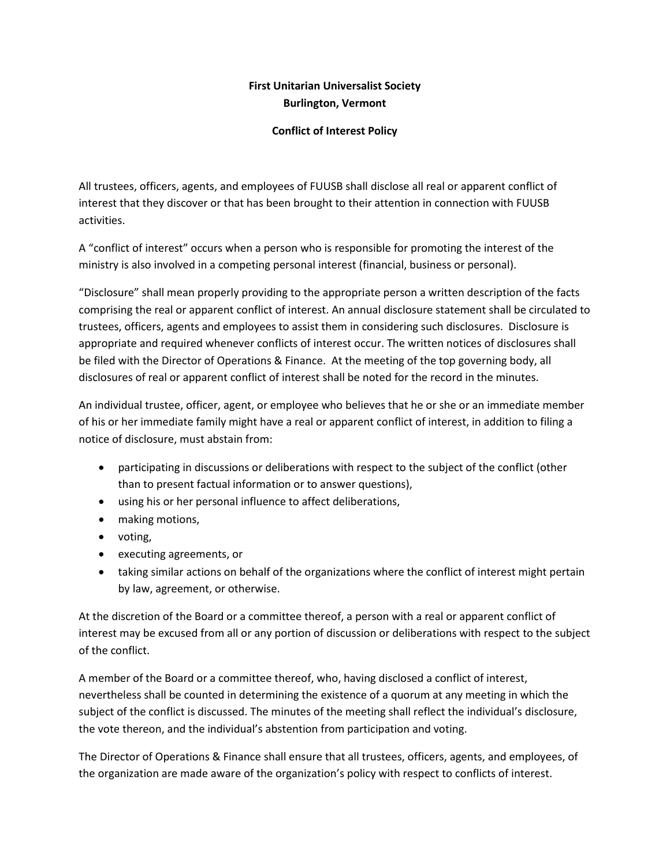# **First Unitarian Universalist Society Burlington, Vermont**

## **Conflict of Interest Policy**

All trustees, officers, agents, and employees of FUUSB shall disclose all real or apparent conflict of interest that they discover or that has been brought to their attention in connection with FUUSB activities.

A "conflict of interest" occurs when a person who is responsible for promoting the interest of the ministry is also involved in a competing personal interest (financial, business or personal).

"Disclosure" shall mean properly providing to the appropriate person a written description of the facts comprising the real or apparent conflict of interest. An annual disclosure statement shall be circulated to trustees, officers, agents and employees to assist them in considering such disclosures. Disclosure is appropriate and required whenever conflicts of interest occur. The written notices of disclosures shall be filed with the Director of Operations & Finance. At the meeting of the top governing body, all disclosures of real or apparent conflict of interest shall be noted for the record in the minutes.

An individual trustee, officer, agent, or employee who believes that he or she or an immediate member of his or her immediate family might have a real or apparent conflict of interest, in addition to filing a notice of disclosure, must abstain from:

- participating in discussions or deliberations with respect to the subject of the conflict (other than to present factual information or to answer questions),
- using his or her personal influence to affect deliberations,
- making motions,
- voting,
- executing agreements, or
- taking similar actions on behalf of the organizations where the conflict of interest might pertain by law, agreement, or otherwise.

At the discretion of the Board or a committee thereof, a person with a real or apparent conflict of interest may be excused from all or any portion of discussion or deliberations with respect to the subject of the conflict.

A member of the Board or a committee thereof, who, having disclosed a conflict of interest, nevertheless shall be counted in determining the existence of a quorum at any meeting in which the subject of the conflict is discussed. The minutes of the meeting shall reflect the individual's disclosure, the vote thereon, and the individual's abstention from participation and voting.

The Director of Operations & Finance shall ensure that all trustees, officers, agents, and employees, of the organization are made aware of the organization's policy with respect to conflicts of interest.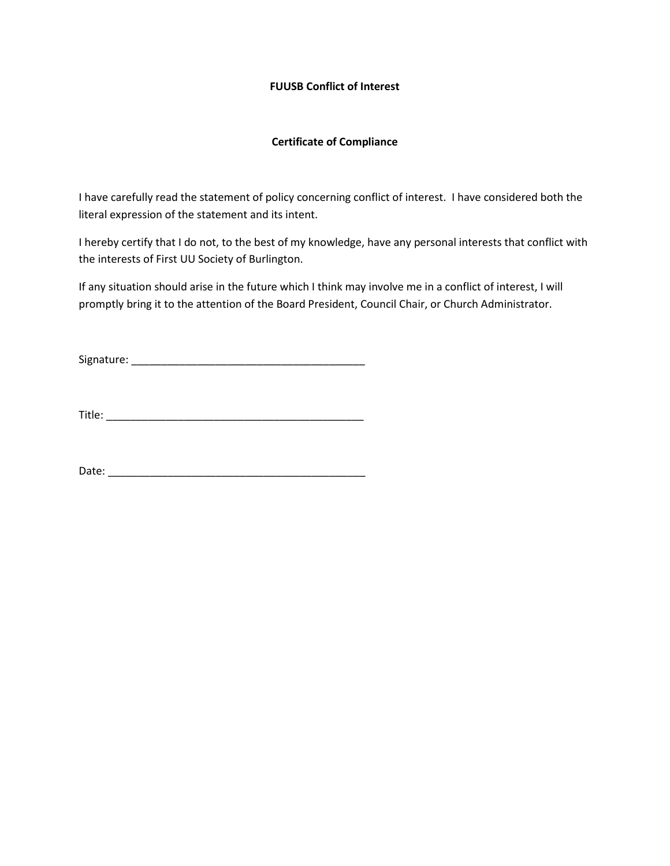## **FUUSB Conflict of Interest**

## **Certificate of Compliance**

I have carefully read the statement of policy concerning conflict of interest. I have considered both the literal expression of the statement and its intent.

I hereby certify that I do not, to the best of my knowledge, have any personal interests that conflict with the interests of First UU Society of Burlington.

If any situation should arise in the future which I think may involve me in a conflict of interest, I will promptly bring it to the attention of the Board President, Council Chair, or Church Administrator.

Signature: \_\_\_\_\_\_\_\_\_\_\_\_\_\_\_\_\_\_\_\_\_\_\_\_\_\_\_\_\_\_\_\_\_\_\_\_\_\_\_

Title: \_\_\_\_\_\_\_\_\_\_\_\_\_\_\_\_\_\_\_\_\_\_\_\_\_\_\_\_\_\_\_\_\_\_\_\_\_\_\_\_\_\_\_

Date: \_\_\_\_\_\_\_\_\_\_\_\_\_\_\_\_\_\_\_\_\_\_\_\_\_\_\_\_\_\_\_\_\_\_\_\_\_\_\_\_\_\_\_